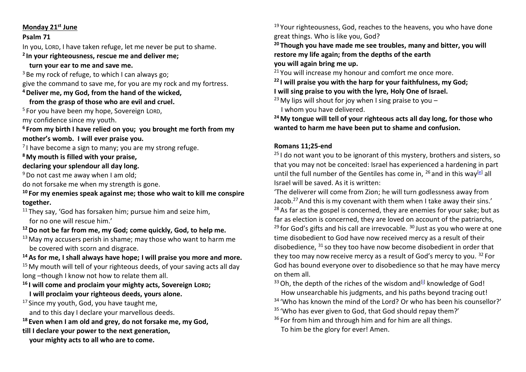#### **Monday 21st June**

#### **Psalm 71**

In you, LORD, I have taken refuge, let me never be put to shame.

**2 In your righteousness, rescue me and deliver me;**

 **turn your ear to me and save me.**

 $3$  Be my rock of refuge, to which I can always go;

give the command to save me, for you are my rock and my fortress.

#### **<sup>4</sup>Deliver me, my God, from the hand of the wicked,**

 **from the grasp of those who are evil and cruel.**

<sup>5</sup> For you have been my hope, Sovereign LORD,

my confidence since my youth.

**<sup>6</sup> From my birth I have relied on you; you brought me forth from my mother's womb. I will ever praise you.**

 $7$ I have become a sign to many; you are my strong refuge.

**<sup>8</sup>My mouth is filled with your praise,**

## **declaring your splendour all day long.**

 $9$  Do not cast me away when I am old;

do not forsake me when my strength is gone.

## **<sup>10</sup> For my enemies speak against me; those who wait to kill me conspire together.**

- $11$  They say, 'God has forsaken him; pursue him and seize him, for no one will rescue him.'
- **<sup>12</sup>Do not be far from me, my God; come quickly, God, to help me.**

 $13$  May my accusers perish in shame; may those who want to harm me be covered with scorn and disgrace.

**<sup>14</sup>As for me, I shall always have hope; I will praise you more and more.**

<sup>15</sup> My mouth will tell of your righteous deeds, of your saving acts all day long –though I know not how to relate them all.

# **<sup>16</sup> I will come and proclaim your mighty acts, Sovereign LORD;**

 **I will proclaim your righteous deeds, yours alone.**

 $17$  Since my youth, God, you have taught me, and to this day I declare your marvellous deeds.

**<sup>18</sup> Even when I am old and grey, do not forsake me, my God, till I declare your power to the next generation,**

 **your mighty acts to all who are to come.**

<sup>19</sup> Your righteousness, God, reaches to the heavens, you who have done great things. Who is like you, God?

**<sup>20</sup> Though you have made me see troubles, many and bitter, you will restore my life again; from the depths of the earth you will again bring me up.**

 $21$  You will increase my honour and comfort me once more.

**<sup>22</sup> I will praise you with the harp for your faithfulness, my God; I will sing praise to you with the lyre, Holy One of Israel.**

<sup>23</sup> My lips will shout for joy when I sing praise to you – I whom you have delivered.

**<sup>24</sup>My tongue will tell of your righteous acts all day long, for those who wanted to harm me have been put to shame and confusion.**

## **Romans 11;25-end**

 $25$  I do not want you to be ignorant of this mystery, brothers and sisters, so that you may not be conceited: Israel has experienced a hardening in part until the full number of the Gentiles has come in,  $^{26}$  and in this way<sup>[\[e\]](https://www.biblegateway.com/passage/?search=romans+11&version=NIVUK#fen-NIVUK-28236e)</sup> all Israel will be saved. As it is written:

'The deliverer will come from Zion; he will turn godlessness away from Jacob.<sup>27</sup> And this is my covenant with them when I take away their sins.'  $28$  As far as the gospel is concerned, they are enemies for your sake; but as far as election is concerned, they are loved on account of the patriarchs,  $29$  for God's gifts and his call are irrevocable.  $30$  Just as you who were at one time disobedient to God have now received mercy as a result of their disobedience, <sup>31</sup> so they too have now become disobedient in order that they too may now receive mercy as a result of God's mercy to you. <sup>32</sup> For God has bound everyone over to disobedience so that he may have mercy on them all.

 $33$  Oh, the depth of the riches of the wisdom and  $[1]$  knowledge of God!

 How unsearchable his judgments, and his paths beyond tracing out! <sup>34</sup> 'Who has known the mind of the Lord? Or who has been his counsellor?'

- <sup>35</sup> 'Who has ever given to God, that God should repay them?'
- <sup>36</sup> For from him and through him and for him are all things. To him be the glory for ever! Amen.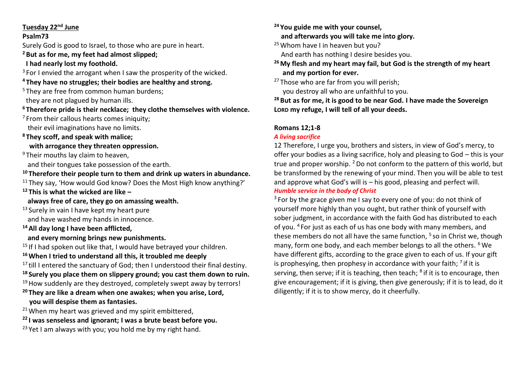#### **Tuesday 22nd June**

#### **Psalm73**

Surely God is good to Israel, to those who are pure in heart.

**<sup>2</sup> But as for me, my feet had almost slipped;**

 **I had nearly lost my foothold.**

 $3$  For I envied the arrogant when I saw the prosperity of the wicked.

**<sup>4</sup> They have no struggles; their bodies are healthy and strong.**

<sup>5</sup> They are free from common human burdens;

they are not plagued by human ills.

**<sup>6</sup> Therefore pride is their necklace; they clothe themselves with violence.**

 $<sup>7</sup>$  From their callous hearts comes iniquity;</sup>

their evil imaginations have no limits.

**<sup>8</sup> They scoff, and speak with malice; with arrogance they threaten oppression.**

<sup>9</sup> Their mouths lay claim to heaven,

and their tongues take possession of the earth.

## **<sup>10</sup> Therefore their people turn to them and drink up waters in abundance.**

<sup>11</sup> They say, 'How would God know? Does the Most High know anything?'

**<sup>12</sup> This is what the wicked are like –**

 **always free of care, they go on amassing wealth.**

<sup>13</sup> Surely in vain I have kept my heart pure

and have washed my hands in innocence.

**<sup>14</sup>All day long I have been afflicted,**

 **and every morning brings new punishments.**

<sup>15</sup> If I had spoken out like that, I would have betrayed your children.

**<sup>16</sup>When I tried to understand all this, it troubled me deeply**

 $17$  till I entered the sanctuary of God; then I understood their final destiny.

**<sup>18</sup> Surely you place them on slippery ground; you cast them down to ruin.**

- $19$  How suddenly are they destroyed, completely swept away by terrors!
- **<sup>20</sup> They are like a dream when one awakes; when you arise, Lord, you will despise them as fantasies.**

 $21$  When my heart was grieved and my spirit embittered,

**<sup>22</sup> I was senseless and ignorant; I was a brute beast before you.**

<sup>23</sup> Yet I am always with you; you hold me by my right hand.

**<sup>24</sup> You guide me with your counsel,**

 **and afterwards you will take me into glory.**

<sup>25</sup> Whom have I in heaven but you? And earth has nothing I desire besides you.

**<sup>26</sup>My flesh and my heart may fail, but God is the strength of my heart and my portion for ever.**

 $27$  Those who are far from you will perish;

you destroy all who are unfaithful to you.

**<sup>28</sup> But as for me, it is good to be near God. I have made the Sovereign LORD my refuge, I will tell of all your deeds.**

## **Romans 12;1-8**

## *A living sacrifice*

12 Therefore, I urge you, brothers and sisters, in view of God's mercy, to offer your bodies as a living sacrifice, holy and pleasing to God – this is your true and proper worship.  $2$  Do not conform to the pattern of this world, but be transformed by the renewing of your mind. Then you will be able to test and approve what God's will is – his good, pleasing and perfect will. *Humble service in the body of Christ*

 $3$  For by the grace given me I say to every one of you: do not think of yourself more highly than you ought, but rather think of yourself with sober judgment, in accordance with the faith God has distributed to each of you. <sup>4</sup> For just as each of us has one body with many members, and these members do not all have the same function, <sup>5</sup> so in Christ we, though many, form one body, and each member belongs to all the others. <sup>6</sup> We have different gifts, according to the grace given to each of us. If your gift is prophesying, then prophesy in accordance with your faith;  $\frac{7}{1}$  if it is serving, then serve; if it is teaching, then teach; <sup>8</sup> if it is to encourage, then give encouragement; if it is giving, then give generously; if it is to lead, do it diligently; if it is to show mercy, do it cheerfully.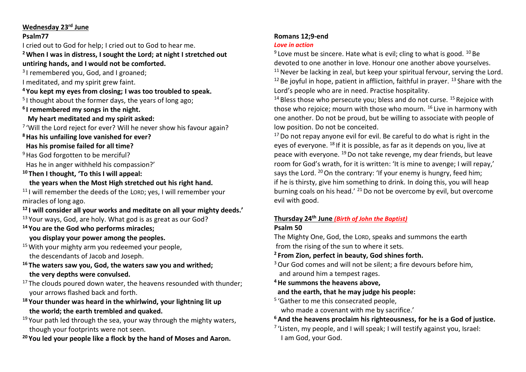#### **Wednesday 23rd June**

#### **Psalm77**

I cried out to God for help; I cried out to God to hear me.

**<sup>2</sup>When I was in distress, I sought the Lord; at night I stretched out untiring hands, and I would not be comforted.**

<sup>3</sup>I remembered you, God, and I groaned;

I meditated, and my spirit grew faint.

**<sup>4</sup> You kept my eyes from closing; I was too troubled to speak.**

<sup>5</sup>I thought about the former days, the years of long ago;

**6 I remembered my songs in the night.**

 **My heart meditated and my spirit asked:**

<sup>7</sup> 'Will the Lord reject for ever? Will he never show his favour again?

**<sup>8</sup>Has his unfailing love vanished for ever? Has his promise failed for all time?**

<sup>9</sup> Has God forgotten to be merciful?

Has he in anger withheld his compassion?'

**<sup>10</sup> Then I thought, 'To this I will appeal:**

### **the years when the Most High stretched out his right hand.**

 $11$  I will remember the deeds of the LORD; yes, I will remember your miracles of long ago.

**<sup>12</sup> I will consider all your works and meditate on all your mighty deeds.'**

<sup>13</sup> Your ways, God, are holy. What god is as great as our God?

## **<sup>14</sup> You are the God who performs miracles;**

## **you display your power among the peoples.**

<sup>15</sup> With your mighty arm you redeemed your people, the descendants of Jacob and Joseph.

## **<sup>16</sup> The waters saw you, God, the waters saw you and writhed; the very depths were convulsed.**

 $17$  The clouds poured down water, the heavens resounded with thunder; your arrows flashed back and forth.

**<sup>18</sup> Your thunder was heard in the whirlwind, your lightning lit up the world; the earth trembled and quaked.**

 $19$  Your path led through the sea, your way through the mighty waters, though your footprints were not seen.

**<sup>20</sup> You led your people like a flock by the hand of Moses and Aaron.**

## **Romans 12;9-end**

#### *Love in action*

 $^9$  Love must be sincere. Hate what is evil; cling to what is good.  $^{10}$  Be devoted to one another in love. Honour one another above yourselves.  $11$  Never be lacking in zeal, but keep your spiritual fervour, serving the Lord.  $12$  Be joyful in hope, patient in affliction, faithful in prayer,  $13$  Share with the Lord's people who are in need. Practise hospitality.

<sup>14</sup> Bless those who persecute you; bless and do not curse. <sup>15</sup> Rejoice with those who rejoice; mourn with those who mourn.  $16$  Live in harmony with one another. Do not be proud, but be willing to associate with people of low position. Do not be conceited.

<sup>17</sup> Do not repay anyone evil for evil. Be careful to do what is right in the eyes of everyone. <sup>18</sup> If it is possible, as far as it depends on you, live at peace with everyone. <sup>19</sup> Do not take revenge, my dear friends, but leave room for God's wrath, for it is written: 'It is mine to avenge; I will repay,' says the Lord. <sup>20</sup> On the contrary: 'If your enemy is hungry, feed him; if he is thirsty, give him something to drink. In doing this, you will heap burning coals on his head.' <sup>21</sup> Do not be overcome by evil, but overcome evil with good.

## **Thursday 24th June** *(Birth of John the Baptist)*

#### **Psalm 50**

The Mighty One, God, the LORD, speaks and summons the earth from the rising of the sun to where it sets.

## **<sup>2</sup> From Zion, perfect in beauty, God shines forth.**

- <sup>3</sup> Our God comes and will not be silent; a fire devours before him, and around him a tempest rages.
- **<sup>4</sup>He summons the heavens above, and the earth, that he may judge his people:**
- <sup>5</sup> 'Gather to me this consecrated people, who made a covenant with me by sacrifice.'
- **<sup>6</sup>And the heavens proclaim his righteousness, for he is a God of justice.**
- <sup>7</sup> 'Listen, my people, and I will speak; I will testify against you, Israel: I am God, your God.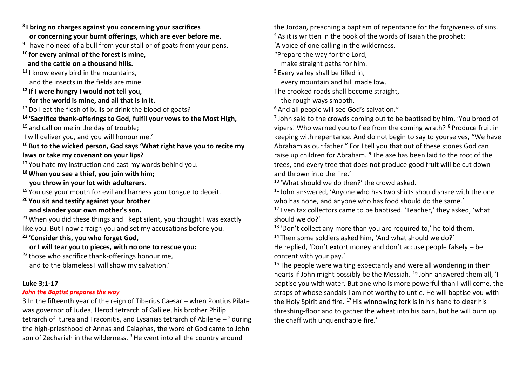**8 I bring no charges against you concerning your sacrifices or concerning your burnt offerings, which are ever before me.** <sup>9</sup>I have no need of a bull from your stall or of goats from your pens, **<sup>10</sup> for every animal of the forest is mine, and the cattle on a thousand hills.**  $11$  know every bird in the mountains, and the insects in the fields are mine. **<sup>12</sup> If I were hungry I would not tell you, for the world is mine, and all that is in it.** <sup>13</sup> Do I eat the flesh of bulls or drink the blood of goats? **<sup>14</sup> 'Sacrifice thank-offerings to God, fulfil your vows to the Most High,**  $15$  and call on me in the day of trouble: I will deliver you, and you will honour me.' **<sup>16</sup> But to the wicked person, God says 'What right have you to recite my laws or take my covenant on your lips?**  $17$  You hate my instruction and cast my words behind you. **<sup>18</sup>When you see a thief, you join with him; you throw in your lot with adulterers.**  $19$  You use your mouth for evil and harness your tongue to deceit. **<sup>20</sup> You sit and testify against your brother and slander your own mother's son.**  $21$  When you did these things and I kept silent, you thought I was exactly like you. But I now arraign you and set my accusations before you. **<sup>22</sup> 'Consider this, you who forget God, or I will tear you to pieces, with no one to rescue you:** <sup>23</sup> those who sacrifice thank-offerings honour me, and to the blameless I will show my salvation.'

#### **Luke 3;1-17**

#### *John the Baptist prepares the way*

3 In the fifteenth year of the reign of Tiberius Caesar – when Pontius Pilate was governor of Judea, Herod tetrarch of Galilee, his brother Philip tetrarch of Iturea and Traconitis, and Lysanias tetrarch of Abilene  $-2$  during the high-priesthood of Annas and Caiaphas, the word of God came to John son of Zechariah in the wilderness.<sup>3</sup> He went into all the country around

the Jordan, preaching a baptism of repentance for the forgiveness of sins. <sup>4</sup> As it is written in the book of the words of Isaiah the prophet: 'A voice of one calling in the wilderness, "Prepare the way for the Lord, make straight paths for him. <sup>5</sup> Every valley shall be filled in, every mountain and hill made low.

The crooked roads shall become straight,

the rough ways smooth.

<sup>6</sup> And all people will see God's salvation."

 $^7$  John said to the crowds coming out to be baptised by him, 'You brood of vipers! Who warned you to flee from the coming wrath? <sup>8</sup> Produce fruit in keeping with repentance. And do not begin to say to yourselves, "We have Abraham as our father." For I tell you that out of these stones God can raise up children for Abraham. <sup>9</sup> The axe has been laid to the root of the trees, and every tree that does not produce good fruit will be cut down and thrown into the fire.'

<sup>10</sup> 'What should we do then?' the crowd asked.

 $11$  John answered, 'Anyone who has two shirts should share with the one who has none, and anyone who has food should do the same.'

 $12$  Even tax collectors came to be baptised. 'Teacher,' they asked, 'what should we do?'

 $13$  'Don't collect any more than you are required to,' he told them.

<sup>14</sup> Then some soldiers asked him, 'And what should we do?' He replied, 'Don't extort money and don't accuse people falsely – be content with your pay.'

 $15$  The people were waiting expectantly and were all wondering in their hearts if John might possibly be the Messiah. <sup>16</sup> John answered them all, 'I baptise you with water. But one who is more powerful than I will come, the straps of whose sandals I am not worthy to untie. He will baptise you with the Holy Spirit and fire.  $17$  His winnowing fork is in his hand to clear his threshing-floor and to gather the wheat into his barn, but he will burn up the chaff with unquenchable fire.'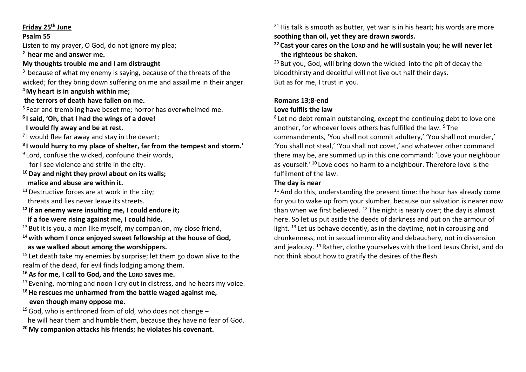#### **Friday 25th June**

#### **Psalm 55**

Listen to my prayer, O God, do not ignore my plea;

**<sup>2</sup> hear me and answer me.**

#### **My thoughts trouble me and I am distraught**

 $3$  because of what my enemy is saying, because of the threats of the wicked; for they bring down suffering on me and assail me in their anger.

**<sup>4</sup>My heart is in anguish within me;**

### **the terrors of death have fallen on me.**

 $5$  Fear and trembling have beset me; horror has overwhelmed me.

**6 I said, 'Oh, that I had the wings of a dove! I would fly away and be at rest.**

<sup>7</sup>I would flee far away and stay in the desert;

- **8 I would hurry to my place of shelter, far from the tempest and storm.'**
- 9 Lord, confuse the wicked, confound their words, for I see violence and strife in the city.
- **<sup>10</sup>Day and night they prowl about on its walls; malice and abuse are within it.**
- $11$  Destructive forces are at work in the city: threats and lies never leave its streets.
- **<sup>12</sup> If an enemy were insulting me, I could endure it;**
- **if a foe were rising against me, I could hide.**
- $13$  But it is you, a man like myself, my companion, my close friend,
- **<sup>14</sup>with whom I once enjoyed sweet fellowship at the house of God, as we walked about among the worshippers.**

 $15$  Let death take my enemies by surprise; let them go down alive to the realm of the dead, for evil finds lodging among them.

## **<sup>16</sup>As for me, I call to God, and the LORD saves me.**

 $17$  Evening, morning and noon I cry out in distress, and he hears my voice.

### **<sup>18</sup>He rescues me unharmed from the battle waged against me, even though many oppose me.**

<sup>19</sup> God, who is enthroned from of old, who does not change  $-$ 

he will hear them and humble them, because they have no fear of God.

**<sup>20</sup>My companion attacks his friends; he violates his covenant.**

 $21$  His talk is smooth as butter, yet war is in his heart; his words are more **soothing than oil, yet they are drawn swords.**

**<sup>22</sup> Cast your cares on the LORD and he will sustain you; he will never let the righteous be shaken.**

 $23$  But you, God, will bring down the wicked into the pit of decay the bloodthirsty and deceitful will not live out half their days. But as for me, I trust in you.

## **Romans 13;8-end Love fulfils the law**

<sup>8</sup> Let no debt remain outstanding, except the continuing debt to love one another, for whoever loves others has fulfilled the law. <sup>9</sup> The commandments, 'You shall not commit adultery,' 'You shall not murder,' 'You shall not steal,' 'You shall not covet,' and whatever other command there may be, are summed up in this one command: 'Love your neighbour as yourself.' <sup>10</sup> Love does no harm to a neighbour. Therefore love is the fulfilment of the law.

## **The day is near**

 $11$  And do this, understanding the present time: the hour has already come for you to wake up from your slumber, because our salvation is nearer now than when we first believed.  $12$  The night is nearly over; the day is almost here. So let us put aside the deeds of darkness and put on the armour of light.  $^{13}$  Let us behave decently, as in the daytime, not in carousing and drunkenness, not in sexual immorality and debauchery, not in dissension and jealousy. <sup>14</sup> Rather, clothe yourselves with the Lord Jesus Christ, and do not think about how to gratify the desires of the flesh.